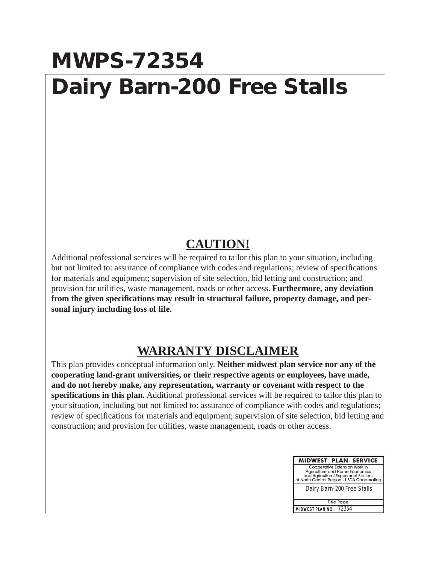## **MWPS-72354 Dairy Barn-200 Free Stalls**

## **CAUTION!**

Additional professional services will be required to tailor this plan to your situation, including but not limited to: assurance of compliance with codes and regulations; review of specifications for materials and equipment; supervision of site selection, bid letting and construction; and provision for utilities, waste management, roads or other access. **Furthermore, any deviation from the given specifications may result in structural failure, property damage, and personal injury including loss of life.**

## **WARRANTY DISCLAIMER**

This plan provides conceptual information only. **Neither midwest plan service nor any of the cooperating land-grant universities, or their respective agents or employees, have made, and do not hereby make, any representation, warranty or covenant with respect to the specifications in this plan.** Additional professional services will be required to tailor this plan to your situation, including but not limited to: assurance of compliance with codes and regulations; review of specifications for materials and equipment; supervision of site selection, bid letting and construction; and provision for utilities, waste management, roads or other access.

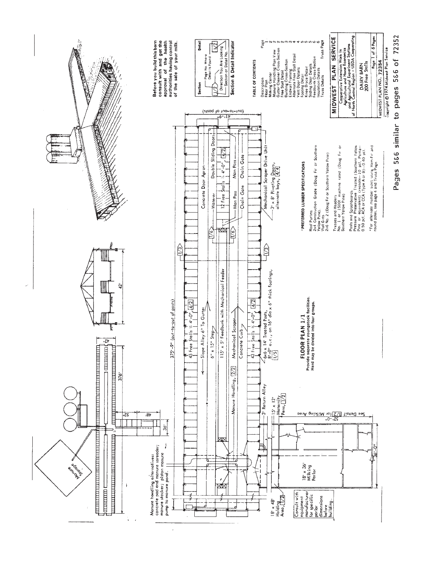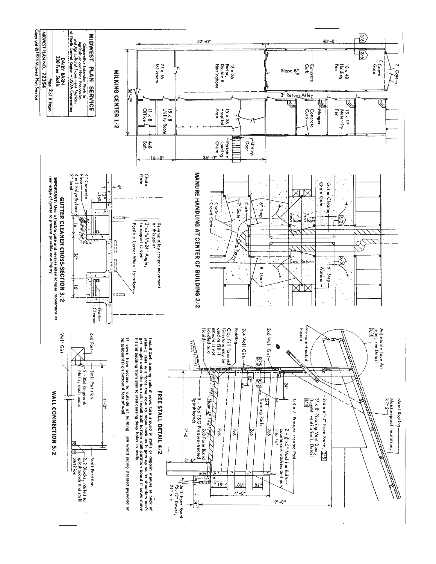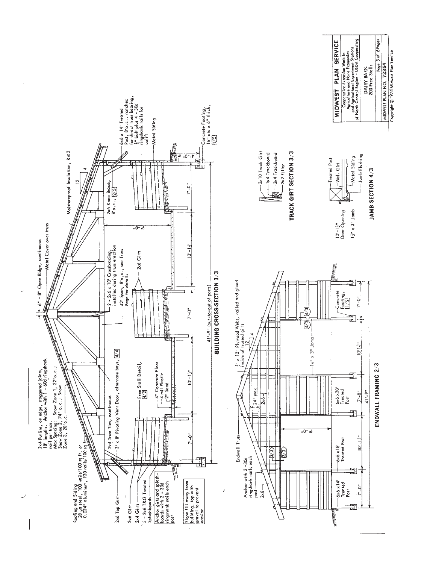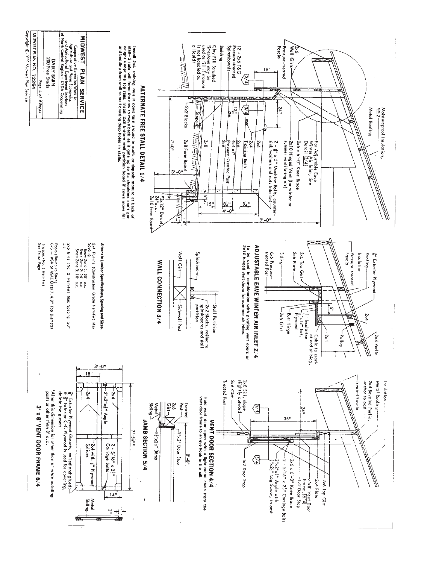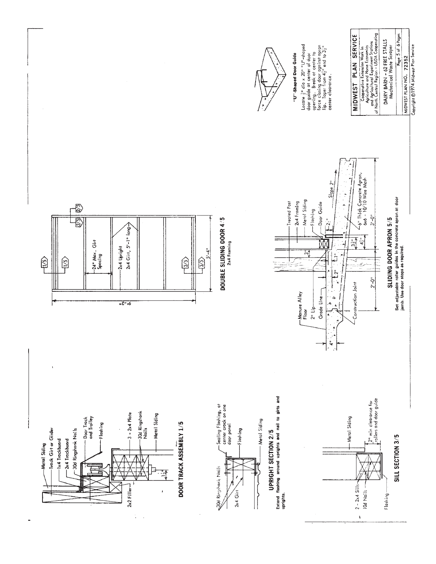

Ð  $\frac{1}{\sqrt{2}}$  $\circledR$  $\sqrt{5}$ 

 $2x2$  Filler $-$ 

-Track Girt or Girder

Metal Siding

-1x4 Trackboard 2x4 Trackboard -30d Ringshank Nails

— Sealing Floshing, at<br>center crack on one<br>door panel -30d Ringshank<br>Nails  $3 - 2x4$  Plate Metal Siding - Metal Siding DOOR TRACK ASSEMBLY 1/5 -Flashing

30d Ringshark Nails

2x4 Girt

Extend flashing around uprights and nail to girts and UPRIGHT SECTION 2/5 uprights.



Copyright ©1974 Midwest Plan Service